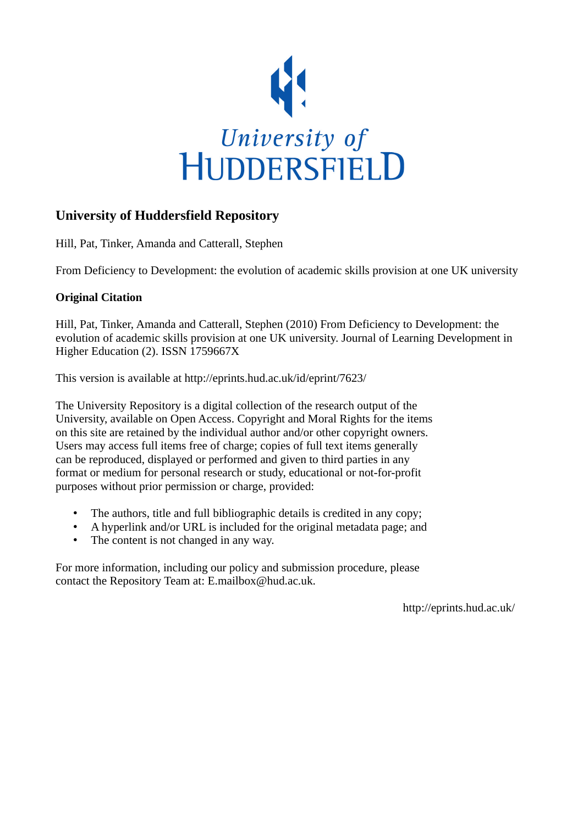

## **University of Huddersfield Repository**

Hill, Pat, Tinker, Amanda and Catterall, Stephen

From Deficiency to Development: the evolution of academic skills provision at one UK university

### **Original Citation**

Hill, Pat, Tinker, Amanda and Catterall, Stephen (2010) From Deficiency to Development: the evolution of academic skills provision at one UK university. Journal of Learning Development in Higher Education (2). ISSN 1759667X

This version is available at http://eprints.hud.ac.uk/id/eprint/7623/

The University Repository is a digital collection of the research output of the University, available on Open Access. Copyright and Moral Rights for the items on this site are retained by the individual author and/or other copyright owners. Users may access full items free of charge; copies of full text items generally can be reproduced, displayed or performed and given to third parties in any format or medium for personal research or study, educational or not-for-profit purposes without prior permission or charge, provided:

- The authors, title and full bibliographic details is credited in any copy;
- A hyperlink and/or URL is included for the original metadata page; and
- The content is not changed in any way.

For more information, including our policy and submission procedure, please contact the Repository Team at: E.mailbox@hud.ac.uk.

http://eprints.hud.ac.uk/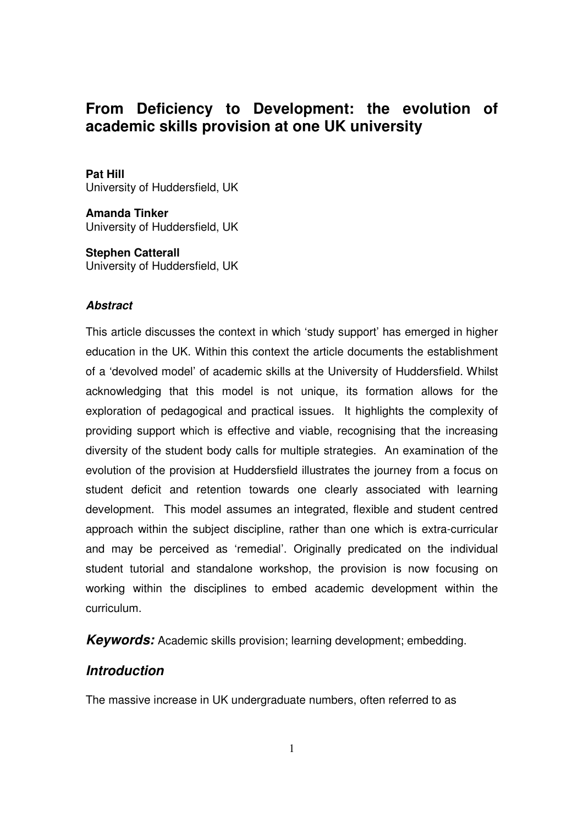# **From Deficiency to Development: the evolution of academic skills provision at one UK university**

### **Pat Hill**

University of Huddersfield, UK

**Amanda Tinker**  University of Huddersfield, UK

**Stephen Catterall**  University of Huddersfield, UK

### **Abstract**

This article discusses the context in which 'study support' has emerged in higher education in the UK. Within this context the article documents the establishment of a 'devolved model' of academic skills at the University of Huddersfield. Whilst acknowledging that this model is not unique, its formation allows for the exploration of pedagogical and practical issues. It highlights the complexity of providing support which is effective and viable, recognising that the increasing diversity of the student body calls for multiple strategies. An examination of the evolution of the provision at Huddersfield illustrates the journey from a focus on student deficit and retention towards one clearly associated with learning development. This model assumes an integrated, flexible and student centred approach within the subject discipline, rather than one which is extra-curricular and may be perceived as 'remedial'. Originally predicated on the individual student tutorial and standalone workshop, the provision is now focusing on working within the disciplines to embed academic development within the curriculum.

**Keywords:** Academic skills provision; learning development; embedding.

# **Introduction**

The massive increase in UK undergraduate numbers, often referred to as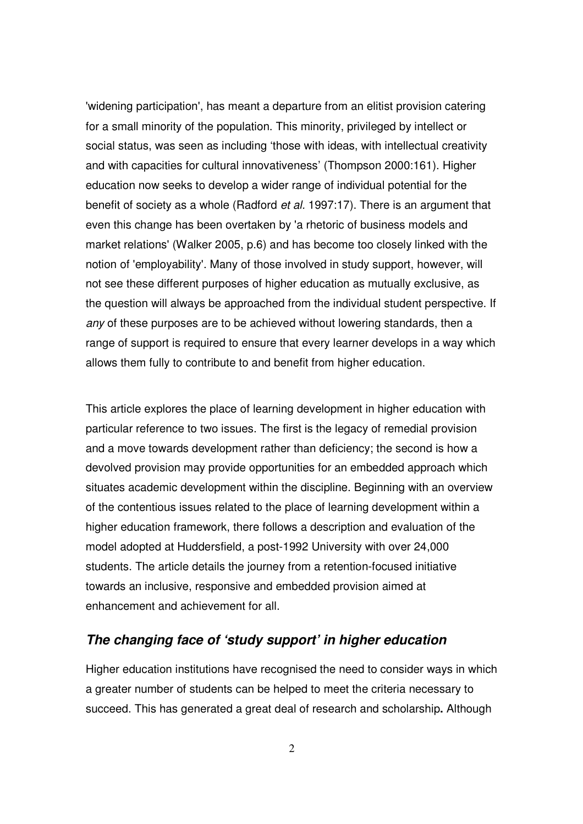'widening participation', has meant a departure from an elitist provision catering for a small minority of the population. This minority, privileged by intellect or social status, was seen as including 'those with ideas, with intellectual creativity and with capacities for cultural innovativeness' (Thompson 2000:161). Higher education now seeks to develop a wider range of individual potential for the benefit of society as a whole (Radford et al. 1997:17). There is an argument that even this change has been overtaken by 'a rhetoric of business models and market relations' (Walker 2005, p.6) and has become too closely linked with the notion of 'employability'. Many of those involved in study support, however, will not see these different purposes of higher education as mutually exclusive, as the question will always be approached from the individual student perspective. If any of these purposes are to be achieved without lowering standards, then a range of support is required to ensure that every learner develops in a way which allows them fully to contribute to and benefit from higher education.

This article explores the place of learning development in higher education with particular reference to two issues. The first is the legacy of remedial provision and a move towards development rather than deficiency; the second is how a devolved provision may provide opportunities for an embedded approach which situates academic development within the discipline. Beginning with an overview of the contentious issues related to the place of learning development within a higher education framework, there follows a description and evaluation of the model adopted at Huddersfield, a post-1992 University with over 24,000 students. The article details the journey from a retention-focused initiative towards an inclusive, responsive and embedded provision aimed at enhancement and achievement for all.

### **The changing face of 'study support' in higher education**

Higher education institutions have recognised the need to consider ways in which a greater number of students can be helped to meet the criteria necessary to succeed. This has generated a great deal of research and scholarship**.** Although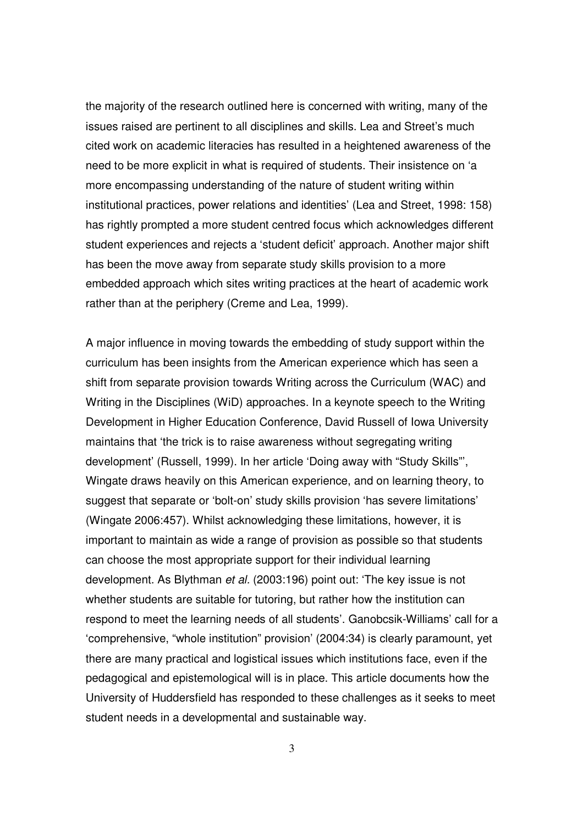the majority of the research outlined here is concerned with writing, many of the issues raised are pertinent to all disciplines and skills. Lea and Street's much cited work on academic literacies has resulted in a heightened awareness of the need to be more explicit in what is required of students. Their insistence on 'a more encompassing understanding of the nature of student writing within institutional practices, power relations and identities' (Lea and Street, 1998: 158) has rightly prompted a more student centred focus which acknowledges different student experiences and rejects a 'student deficit' approach. Another major shift has been the move away from separate study skills provision to a more embedded approach which sites writing practices at the heart of academic work rather than at the periphery (Creme and Lea, 1999).

A major influence in moving towards the embedding of study support within the curriculum has been insights from the American experience which has seen a shift from separate provision towards Writing across the Curriculum (WAC) and Writing in the Disciplines (WiD) approaches. In a keynote speech to the Writing Development in Higher Education Conference, David Russell of Iowa University maintains that 'the trick is to raise awareness without segregating writing development' (Russell, 1999). In her article 'Doing away with "Study Skills"', Wingate draws heavily on this American experience, and on learning theory, to suggest that separate or 'bolt-on' study skills provision 'has severe limitations' (Wingate 2006:457). Whilst acknowledging these limitations, however, it is important to maintain as wide a range of provision as possible so that students can choose the most appropriate support for their individual learning development. As Blythman et al. (2003:196) point out: 'The key issue is not whether students are suitable for tutoring, but rather how the institution can respond to meet the learning needs of all students'. Ganobcsik-Williams' call for a 'comprehensive, "whole institution" provision' (2004:34) is clearly paramount, yet there are many practical and logistical issues which institutions face, even if the pedagogical and epistemological will is in place. This article documents how the University of Huddersfield has responded to these challenges as it seeks to meet student needs in a developmental and sustainable way.

3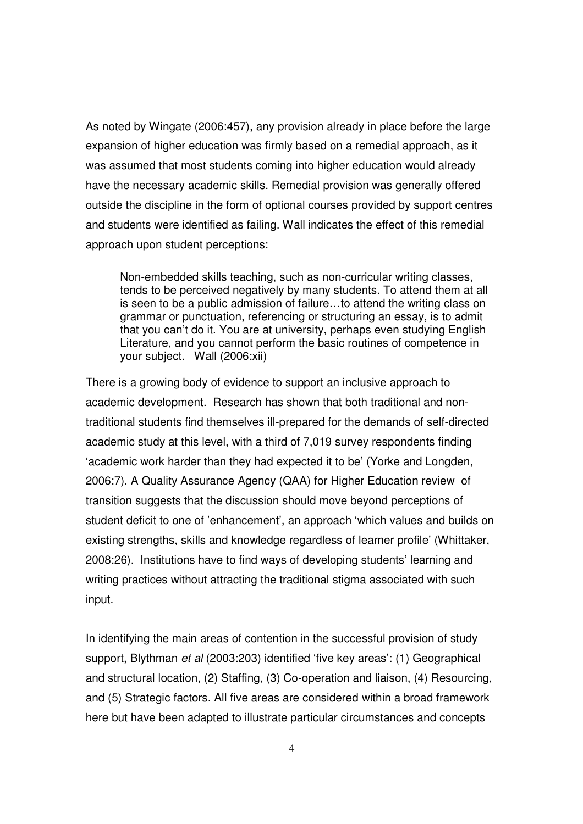As noted by Wingate (2006:457), any provision already in place before the large expansion of higher education was firmly based on a remedial approach, as it was assumed that most students coming into higher education would already have the necessary academic skills. Remedial provision was generally offered outside the discipline in the form of optional courses provided by support centres and students were identified as failing. Wall indicates the effect of this remedial approach upon student perceptions:

Non-embedded skills teaching, such as non-curricular writing classes, tends to be perceived negatively by many students. To attend them at all is seen to be a public admission of failure…to attend the writing class on grammar or punctuation, referencing or structuring an essay, is to admit that you can't do it. You are at university, perhaps even studying English Literature, and you cannot perform the basic routines of competence in your subject. Wall (2006:xii)

There is a growing body of evidence to support an inclusive approach to academic development. Research has shown that both traditional and nontraditional students find themselves ill-prepared for the demands of self-directed academic study at this level, with a third of 7,019 survey respondents finding 'academic work harder than they had expected it to be' (Yorke and Longden, 2006:7). A Quality Assurance Agency (QAA) for Higher Education review of transition suggests that the discussion should move beyond perceptions of student deficit to one of 'enhancement', an approach 'which values and builds on existing strengths, skills and knowledge regardless of learner profile' (Whittaker, 2008:26). Institutions have to find ways of developing students' learning and writing practices without attracting the traditional stigma associated with such input.

In identifying the main areas of contention in the successful provision of study support, Blythman et al (2003:203) identified 'five key areas': (1) Geographical and structural location, (2) Staffing, (3) Co-operation and liaison, (4) Resourcing, and (5) Strategic factors. All five areas are considered within a broad framework here but have been adapted to illustrate particular circumstances and concepts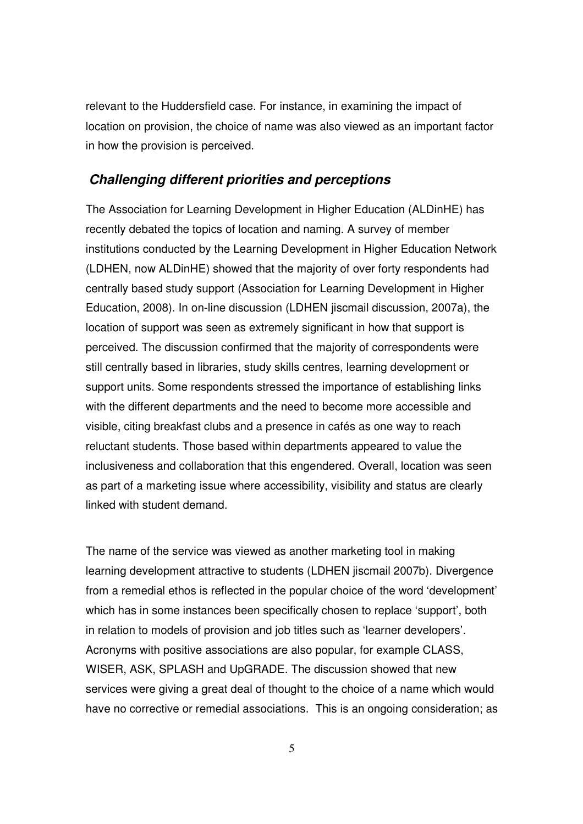relevant to the Huddersfield case. For instance, in examining the impact of location on provision, the choice of name was also viewed as an important factor in how the provision is perceived.

### **Challenging different priorities and perceptions**

The Association for Learning Development in Higher Education (ALDinHE) has recently debated the topics of location and naming. A survey of member institutions conducted by the Learning Development in Higher Education Network (LDHEN, now ALDinHE) showed that the majority of over forty respondents had centrally based study support (Association for Learning Development in Higher Education, 2008). In on-line discussion (LDHEN jiscmail discussion, 2007a), the location of support was seen as extremely significant in how that support is perceived. The discussion confirmed that the majority of correspondents were still centrally based in libraries, study skills centres, learning development or support units. Some respondents stressed the importance of establishing links with the different departments and the need to become more accessible and visible, citing breakfast clubs and a presence in cafés as one way to reach reluctant students. Those based within departments appeared to value the inclusiveness and collaboration that this engendered. Overall, location was seen as part of a marketing issue where accessibility, visibility and status are clearly linked with student demand.

The name of the service was viewed as another marketing tool in making learning development attractive to students (LDHEN jiscmail 2007b). Divergence from a remedial ethos is reflected in the popular choice of the word 'development' which has in some instances been specifically chosen to replace 'support', both in relation to models of provision and job titles such as 'learner developers'. Acronyms with positive associations are also popular, for example CLASS, WISER, ASK, SPLASH and UpGRADE. The discussion showed that new services were giving a great deal of thought to the choice of a name which would have no corrective or remedial associations. This is an ongoing consideration; as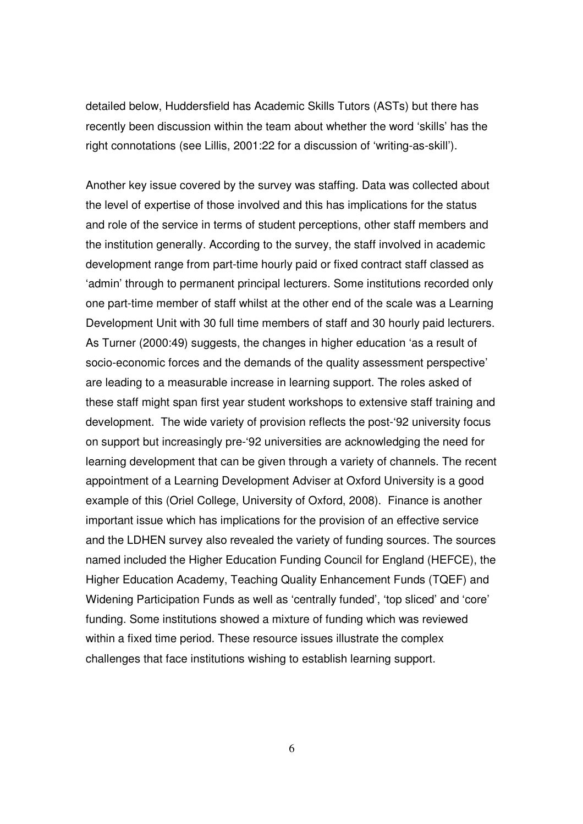detailed below, Huddersfield has Academic Skills Tutors (ASTs) but there has recently been discussion within the team about whether the word 'skills' has the right connotations (see Lillis, 2001:22 for a discussion of 'writing-as-skill').

Another key issue covered by the survey was staffing. Data was collected about the level of expertise of those involved and this has implications for the status and role of the service in terms of student perceptions, other staff members and the institution generally. According to the survey, the staff involved in academic development range from part-time hourly paid or fixed contract staff classed as 'admin' through to permanent principal lecturers. Some institutions recorded only one part-time member of staff whilst at the other end of the scale was a Learning Development Unit with 30 full time members of staff and 30 hourly paid lecturers. As Turner (2000:49) suggests, the changes in higher education 'as a result of socio-economic forces and the demands of the quality assessment perspective' are leading to a measurable increase in learning support. The roles asked of these staff might span first year student workshops to extensive staff training and development. The wide variety of provision reflects the post-'92 university focus on support but increasingly pre-'92 universities are acknowledging the need for learning development that can be given through a variety of channels. The recent appointment of a Learning Development Adviser at Oxford University is a good example of this (Oriel College, University of Oxford, 2008). Finance is another important issue which has implications for the provision of an effective service and the LDHEN survey also revealed the variety of funding sources. The sources named included the Higher Education Funding Council for England (HEFCE), the Higher Education Academy, Teaching Quality Enhancement Funds (TQEF) and Widening Participation Funds as well as 'centrally funded', 'top sliced' and 'core' funding. Some institutions showed a mixture of funding which was reviewed within a fixed time period. These resource issues illustrate the complex challenges that face institutions wishing to establish learning support.

6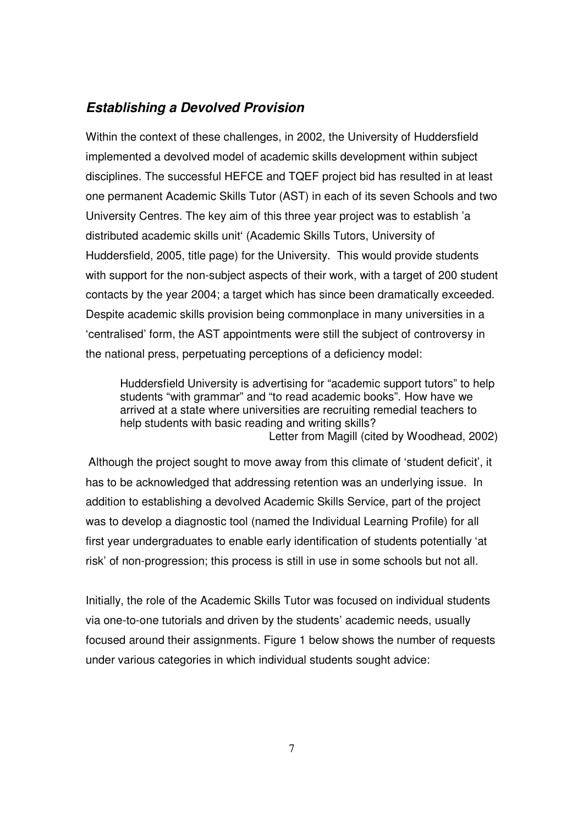### **Establishing a Devolved Provision**

Within the context of these challenges, in 2002, the University of Huddersfield implemented a devolved model of academic skills development within subject disciplines. The successful HEFCE and TQEF project bid has resulted in at least one permanent Academic Skills Tutor (AST) in each of its seven Schools and two University Centres. The key aim of this three year project was to establish 'a distributed academic skills unit' (Academic Skills Tutors, University of Huddersfield, 2005, title page) for the University. This would provide students with support for the non-subject aspects of their work, with a target of 200 student contacts by the year 2004; a target which has since been dramatically exceeded. Despite academic skills provision being commonplace in many universities in a 'centralised' form, the AST appointments were still the subject of controversy in the national press, perpetuating perceptions of a deficiency model:

Huddersfield University is advertising for "academic support tutors" to help students "with grammar" and "to read academic books". How have we arrived at a state where universities are recruiting remedial teachers to help students with basic reading and writing skills? Letter from Magill (cited by Woodhead, 2002)

Although the project sought to move away from this climate of 'student deficit', it has to be acknowledged that addressing retention was an underlying issue. In addition to establishing a devolved Academic Skills Service, part of the project was to develop a diagnostic tool (named the Individual Learning Profile) for all first year undergraduates to enable early identification of students potentially 'at risk' of non-progression; this process is still in use in some schools but not all.

Initially, the role of the Academic Skills Tutor was focused on individual students via one-to-one tutorials and driven by the students' academic needs, usually focused around their assignments. Figure 1 below shows the number of requests under various categories in which individual students sought advice: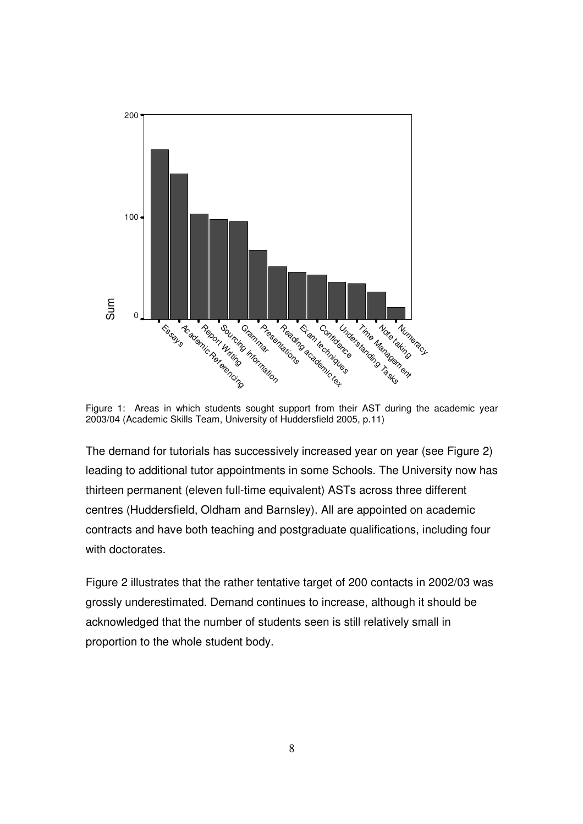

Figure 1: Areas in which students sought support from their AST during the academic year 2003/04 (Academic Skills Team, University of Huddersfield 2005, p.11)

The demand for tutorials has successively increased year on year (see Figure 2) leading to additional tutor appointments in some Schools. The University now has thirteen permanent (eleven full-time equivalent) ASTs across three different centres (Huddersfield, Oldham and Barnsley). All are appointed on academic contracts and have both teaching and postgraduate qualifications, including four with doctorates.

Figure 2 illustrates that the rather tentative target of 200 contacts in 2002/03 was grossly underestimated. Demand continues to increase, although it should be acknowledged that the number of students seen is still relatively small in proportion to the whole student body.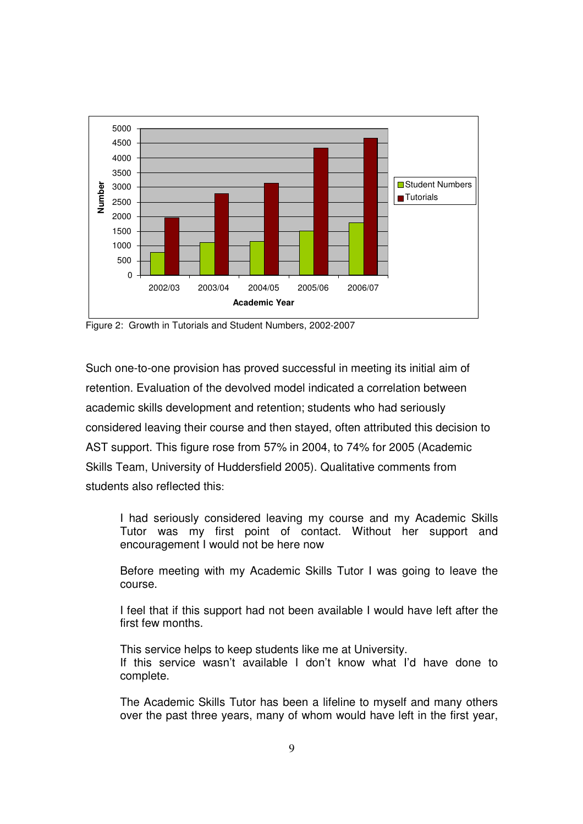

Figure 2: Growth in Tutorials and Student Numbers, 2002-2007

Such one-to-one provision has proved successful in meeting its initial aim of retention. Evaluation of the devolved model indicated a correlation between academic skills development and retention; students who had seriously considered leaving their course and then stayed, often attributed this decision to AST support. This figure rose from 57% in 2004, to 74% for 2005 (Academic Skills Team, University of Huddersfield 2005). Qualitative comments from students also reflected this:

I had seriously considered leaving my course and my Academic Skills Tutor was my first point of contact. Without her support and encouragement I would not be here now

Before meeting with my Academic Skills Tutor I was going to leave the course.

I feel that if this support had not been available I would have left after the first few months.

This service helps to keep students like me at University. If this service wasn't available I don't know what I'd have done to complete.

The Academic Skills Tutor has been a lifeline to myself and many others over the past three years, many of whom would have left in the first year,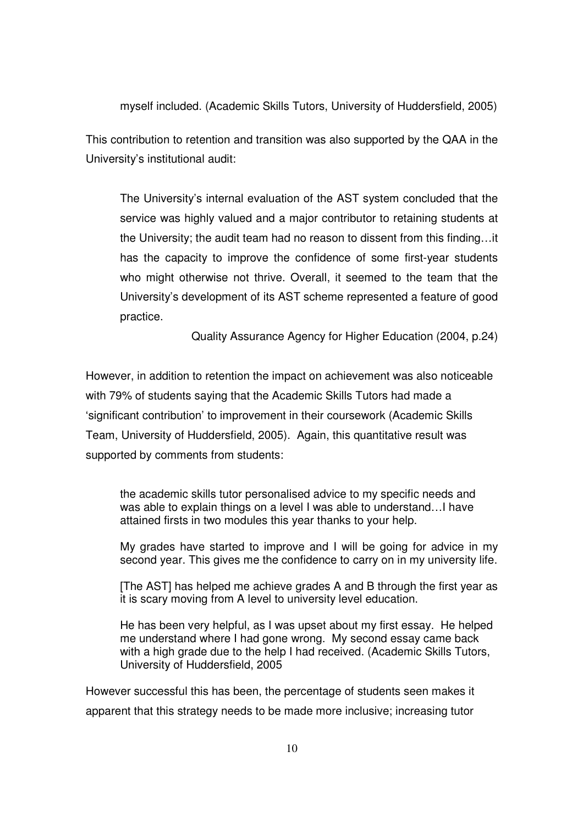myself included. (Academic Skills Tutors, University of Huddersfield, 2005)

This contribution to retention and transition was also supported by the QAA in the University's institutional audit:

The University's internal evaluation of the AST system concluded that the service was highly valued and a major contributor to retaining students at the University; the audit team had no reason to dissent from this finding…it has the capacity to improve the confidence of some first-year students who might otherwise not thrive. Overall, it seemed to the team that the University's development of its AST scheme represented a feature of good practice.

Quality Assurance Agency for Higher Education (2004, p.24)

However, in addition to retention the impact on achievement was also noticeable with 79% of students saying that the Academic Skills Tutors had made a 'significant contribution' to improvement in their coursework (Academic Skills Team, University of Huddersfield, 2005). Again, this quantitative result was supported by comments from students:

the academic skills tutor personalised advice to my specific needs and was able to explain things on a level I was able to understand…I have attained firsts in two modules this year thanks to your help.

My grades have started to improve and I will be going for advice in my second year. This gives me the confidence to carry on in my university life.

[The AST] has helped me achieve grades A and B through the first year as it is scary moving from A level to university level education.

He has been very helpful, as I was upset about my first essay. He helped me understand where I had gone wrong. My second essay came back with a high grade due to the help I had received. (Academic Skills Tutors, University of Huddersfield, 2005

However successful this has been, the percentage of students seen makes it apparent that this strategy needs to be made more inclusive; increasing tutor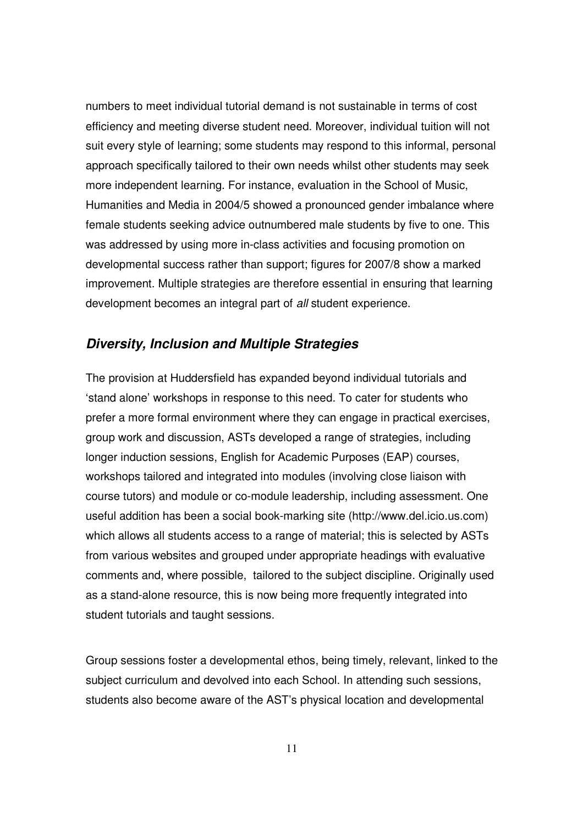numbers to meet individual tutorial demand is not sustainable in terms of cost efficiency and meeting diverse student need. Moreover, individual tuition will not suit every style of learning; some students may respond to this informal, personal approach specifically tailored to their own needs whilst other students may seek more independent learning. For instance, evaluation in the School of Music, Humanities and Media in 2004/5 showed a pronounced gender imbalance where female students seeking advice outnumbered male students by five to one. This was addressed by using more in-class activities and focusing promotion on developmental success rather than support; figures for 2007/8 show a marked improvement. Multiple strategies are therefore essential in ensuring that learning development becomes an integral part of all student experience.

### **Diversity, Inclusion and Multiple Strategies**

The provision at Huddersfield has expanded beyond individual tutorials and 'stand alone' workshops in response to this need. To cater for students who prefer a more formal environment where they can engage in practical exercises, group work and discussion, ASTs developed a range of strategies, including longer induction sessions, English for Academic Purposes (EAP) courses, workshops tailored and integrated into modules (involving close liaison with course tutors) and module or co-module leadership, including assessment. One useful addition has been a social book-marking site (http://www.del.icio.us.com) which allows all students access to a range of material; this is selected by ASTs from various websites and grouped under appropriate headings with evaluative comments and, where possible, tailored to the subject discipline. Originally used as a stand-alone resource, this is now being more frequently integrated into student tutorials and taught sessions.

Group sessions foster a developmental ethos, being timely, relevant, linked to the subject curriculum and devolved into each School. In attending such sessions, students also become aware of the AST's physical location and developmental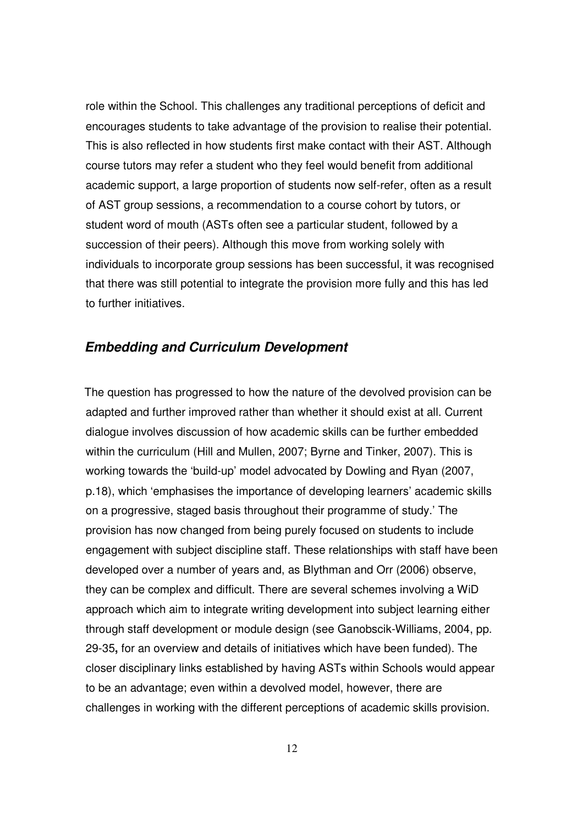role within the School. This challenges any traditional perceptions of deficit and encourages students to take advantage of the provision to realise their potential. This is also reflected in how students first make contact with their AST. Although course tutors may refer a student who they feel would benefit from additional academic support, a large proportion of students now self-refer, often as a result of AST group sessions, a recommendation to a course cohort by tutors, or student word of mouth (ASTs often see a particular student, followed by a succession of their peers). Although this move from working solely with individuals to incorporate group sessions has been successful, it was recognised that there was still potential to integrate the provision more fully and this has led to further initiatives.

### **Embedding and Curriculum Development**

The question has progressed to how the nature of the devolved provision can be adapted and further improved rather than whether it should exist at all. Current dialogue involves discussion of how academic skills can be further embedded within the curriculum (Hill and Mullen, 2007; Byrne and Tinker, 2007). This is working towards the 'build-up' model advocated by Dowling and Ryan (2007, p.18), which 'emphasises the importance of developing learners' academic skills on a progressive, staged basis throughout their programme of study.' The provision has now changed from being purely focused on students to include engagement with subject discipline staff. These relationships with staff have been developed over a number of years and, as Blythman and Orr (2006) observe, they can be complex and difficult. There are several schemes involving a WiD approach which aim to integrate writing development into subject learning either through staff development or module design (see Ganobscik-Williams, 2004, pp. 29-35**,** for an overview and details of initiatives which have been funded). The closer disciplinary links established by having ASTs within Schools would appear to be an advantage; even within a devolved model, however, there are challenges in working with the different perceptions of academic skills provision.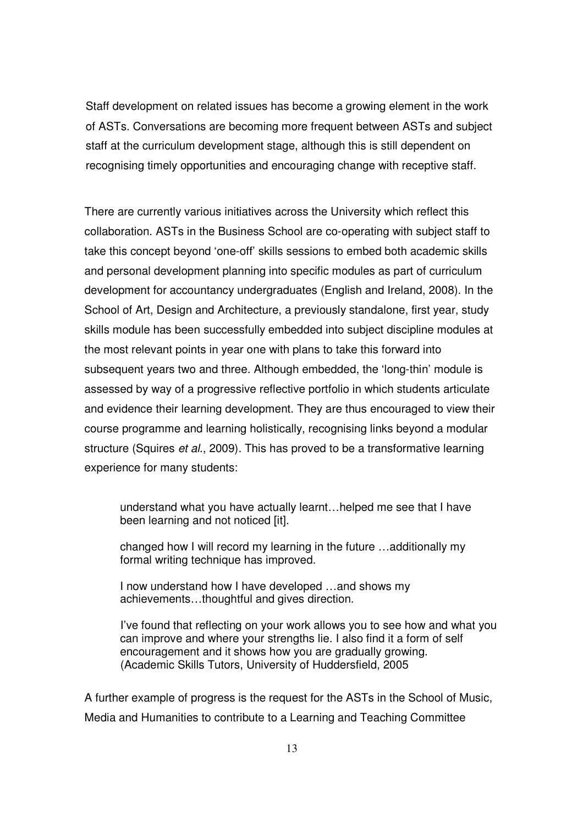Staff development on related issues has become a growing element in the work of ASTs. Conversations are becoming more frequent between ASTs and subject staff at the curriculum development stage, although this is still dependent on recognising timely opportunities and encouraging change with receptive staff.

There are currently various initiatives across the University which reflect this collaboration. ASTs in the Business School are co-operating with subject staff to take this concept beyond 'one-off' skills sessions to embed both academic skills and personal development planning into specific modules as part of curriculum development for accountancy undergraduates (English and Ireland, 2008). In the School of Art, Design and Architecture, a previously standalone, first year, study skills module has been successfully embedded into subject discipline modules at the most relevant points in year one with plans to take this forward into subsequent years two and three. Although embedded, the 'long-thin' module is assessed by way of a progressive reflective portfolio in which students articulate and evidence their learning development. They are thus encouraged to view their course programme and learning holistically, recognising links beyond a modular structure (Squires *et al.*, 2009). This has proved to be a transformative learning experience for many students:

 understand what you have actually learnt…helped me see that I have been learning and not noticed [it].

 changed how I will record my learning in the future …additionally my formal writing technique has improved.

 I now understand how I have developed …and shows my achievements…thoughtful and gives direction.

I've found that reflecting on your work allows you to see how and what you can improve and where your strengths lie. I also find it a form of self encouragement and it shows how you are gradually growing. (Academic Skills Tutors, University of Huddersfield, 2005

A further example of progress is the request for the ASTs in the School of Music, Media and Humanities to contribute to a Learning and Teaching Committee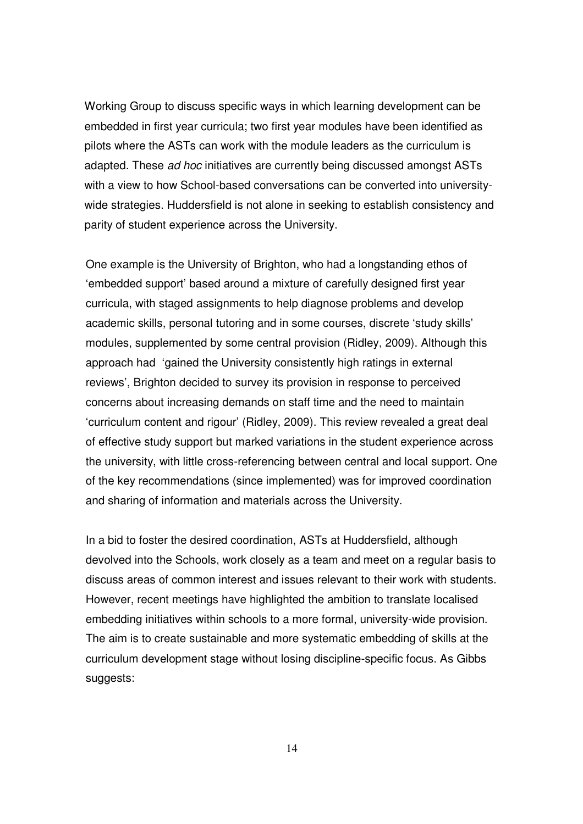Working Group to discuss specific ways in which learning development can be embedded in first year curricula; two first year modules have been identified as pilots where the ASTs can work with the module leaders as the curriculum is adapted. These ad hoc initiatives are currently being discussed amongst ASTs with a view to how School-based conversations can be converted into universitywide strategies. Huddersfield is not alone in seeking to establish consistency and parity of student experience across the University.

One example is the University of Brighton, who had a longstanding ethos of 'embedded support' based around a mixture of carefully designed first year curricula, with staged assignments to help diagnose problems and develop academic skills, personal tutoring and in some courses, discrete 'study skills' modules, supplemented by some central provision (Ridley, 2009). Although this approach had 'gained the University consistently high ratings in external reviews', Brighton decided to survey its provision in response to perceived concerns about increasing demands on staff time and the need to maintain 'curriculum content and rigour' (Ridley, 2009). This review revealed a great deal of effective study support but marked variations in the student experience across the university, with little cross-referencing between central and local support. One of the key recommendations (since implemented) was for improved coordination and sharing of information and materials across the University.

In a bid to foster the desired coordination, ASTs at Huddersfield, although devolved into the Schools, work closely as a team and meet on a regular basis to discuss areas of common interest and issues relevant to their work with students. However, recent meetings have highlighted the ambition to translate localised embedding initiatives within schools to a more formal, university-wide provision. The aim is to create sustainable and more systematic embedding of skills at the curriculum development stage without losing discipline-specific focus. As Gibbs suggests:

14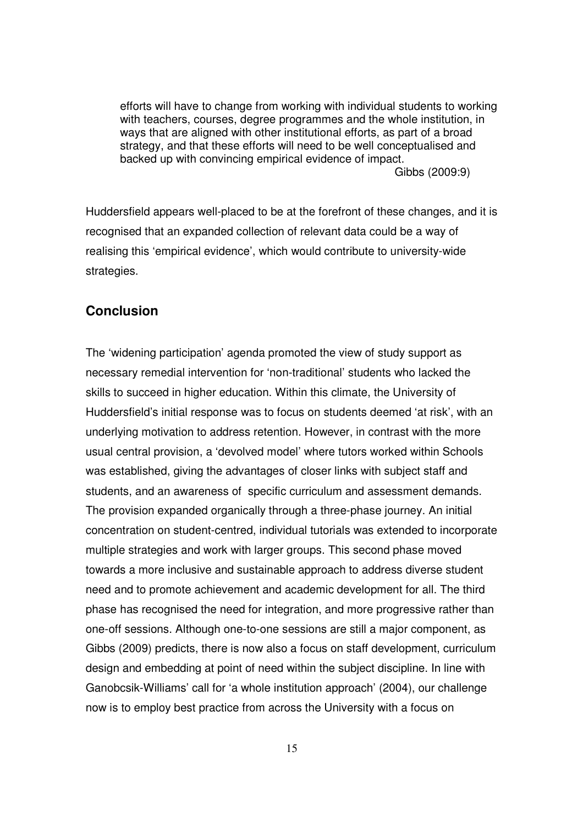efforts will have to change from working with individual students to working with teachers, courses, degree programmes and the whole institution, in ways that are aligned with other institutional efforts, as part of a broad strategy, and that these efforts will need to be well conceptualised and backed up with convincing empirical evidence of impact. Gibbs (2009:9)

Huddersfield appears well-placed to be at the forefront of these changes, and it is recognised that an expanded collection of relevant data could be a way of realising this 'empirical evidence', which would contribute to university-wide strategies.

### **Conclusion**

The 'widening participation' agenda promoted the view of study support as necessary remedial intervention for 'non-traditional' students who lacked the skills to succeed in higher education. Within this climate, the University of Huddersfield's initial response was to focus on students deemed 'at risk', with an underlying motivation to address retention. However, in contrast with the more usual central provision, a 'devolved model' where tutors worked within Schools was established, giving the advantages of closer links with subject staff and students, and an awareness of specific curriculum and assessment demands. The provision expanded organically through a three-phase journey. An initial concentration on student-centred, individual tutorials was extended to incorporate multiple strategies and work with larger groups. This second phase moved towards a more inclusive and sustainable approach to address diverse student need and to promote achievement and academic development for all. The third phase has recognised the need for integration, and more progressive rather than one-off sessions. Although one-to-one sessions are still a major component, as Gibbs (2009) predicts, there is now also a focus on staff development, curriculum design and embedding at point of need within the subject discipline. In line with Ganobcsik-Williams' call for 'a whole institution approach' (2004), our challenge now is to employ best practice from across the University with a focus on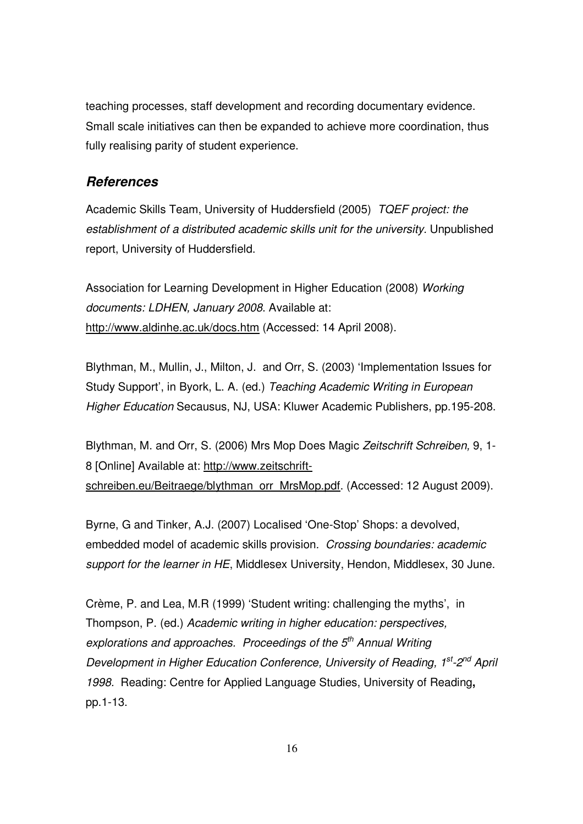teaching processes, staff development and recording documentary evidence. Small scale initiatives can then be expanded to achieve more coordination, thus fully realising parity of student experience.

### **References**

Academic Skills Team, University of Huddersfield (2005) TQEF project: the establishment of a distributed academic skills unit for the university. Unpublished report, University of Huddersfield.

Association for Learning Development in Higher Education (2008) Working documents: LDHEN, January 2008. Available at: http://www.aldinhe.ac.uk/docs.htm (Accessed: 14 April 2008).

Blythman, M., Mullin, J., Milton, J. and Orr, S. (2003) 'Implementation Issues for Study Support', in Byork, L. A. (ed.) Teaching Academic Writing in European Higher Education Secausus, NJ, USA: Kluwer Academic Publishers, pp.195-208.

Blythman, M. and Orr, S. (2006) Mrs Mop Does Magic Zeitschrift Schreiben, 9, 1- 8 [Online] Available at: http://www.zeitschriftschreiben.eu/Beitraege/blythman\_orr\_MrsMop.pdf. (Accessed: 12 August 2009).

Byrne, G and Tinker, A.J. (2007) Localised 'One-Stop' Shops: a devolved, embedded model of academic skills provision. Crossing boundaries: academic support for the learner in HE, Middlesex University, Hendon, Middlesex, 30 June.

Crème, P. and Lea, M.R (1999) 'Student writing: challenging the myths', in Thompson, P. (ed.) Academic writing in higher education: perspectives, explorations and approaches. Proceedings of the  $5<sup>th</sup>$  Annual Writing Development in Higher Education Conference, University of Reading, 1<sup>st</sup>-2<sup>nd</sup> April 1998. Reading: Centre for Applied Language Studies, University of Reading**,**  pp.1-13.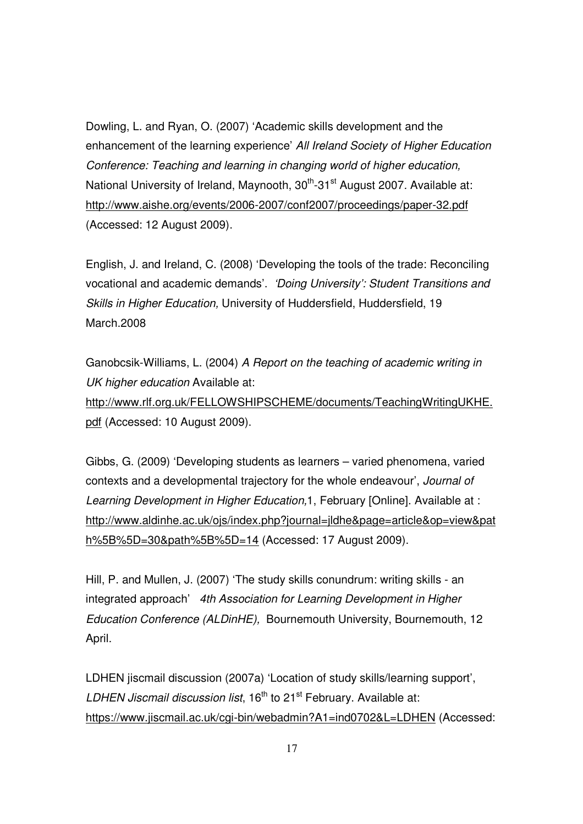Dowling, L. and Ryan, O. (2007) 'Academic skills development and the enhancement of the learning experience' All Ireland Society of Higher Education Conference: Teaching and learning in changing world of higher education, National University of Ireland, Maynooth,  $30<sup>th</sup>$ -31<sup>st</sup> August 2007. Available at: http://www.aishe.org/events/2006-2007/conf2007/proceedings/paper-32.pdf (Accessed: 12 August 2009).

English, J. and Ireland, C. (2008) 'Developing the tools of the trade: Reconciling vocational and academic demands'. 'Doing University': Student Transitions and Skills in Higher Education, University of Huddersfield, Huddersfield, 19 March.2008

Ganobcsik-Williams, L. (2004) A Report on the teaching of academic writing in UK higher education Available at: http://www.rlf.org.uk/FELLOWSHIPSCHEME/documents/TeachingWritingUKHE. pdf (Accessed: 10 August 2009).

Gibbs, G. (2009) 'Developing students as learners – varied phenomena, varied contexts and a developmental trajectory for the whole endeavour', Journal of Learning Development in Higher Education,1, February [Online]. Available at : http://www.aldinhe.ac.uk/ojs/index.php?journal=jldhe&page=article&op=view&pat h%5B%5D=30&path%5B%5D=14 (Accessed: 17 August 2009).

Hill, P. and Mullen, J. (2007) 'The study skills conundrum: writing skills - an integrated approach' 4th Association for Learning Development in Higher Education Conference (ALDinHE), Bournemouth University, Bournemouth, 12 April.

LDHEN jiscmail discussion (2007a) 'Location of study skills/learning support', LDHEN Jiscmail discussion list,  $16<sup>th</sup>$  to  $21<sup>st</sup>$  February. Available at: https://www.jiscmail.ac.uk/cgi-bin/webadmin?A1=ind0702&L=LDHEN (Accessed: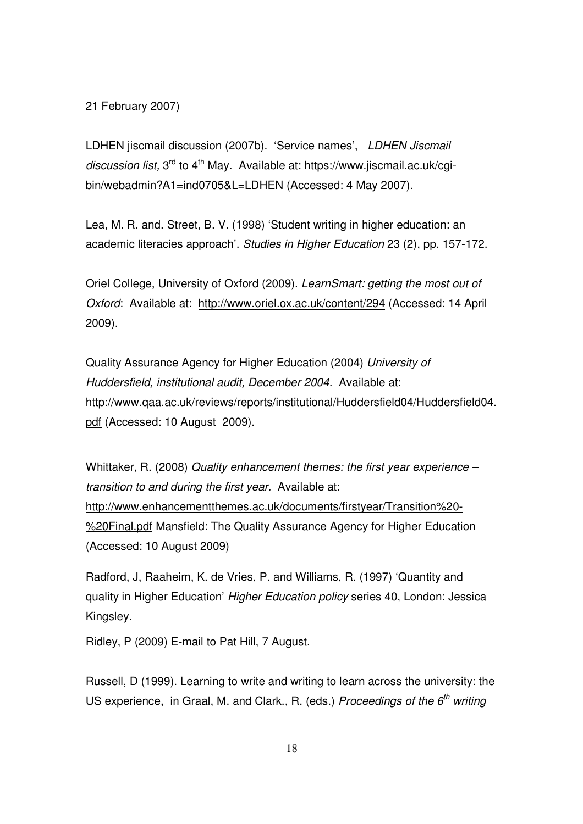#### 21 February 2007)

LDHEN jiscmail discussion (2007b). 'Service names', LDHEN Jiscmail discussion list,  $3^{rd}$  to  $4^{th}$  May. Available at: https://www.jiscmail.ac.uk/cgibin/webadmin?A1=ind0705&L=LDHEN (Accessed: 4 May 2007).

Lea, M. R. and. Street, B. V. (1998) 'Student writing in higher education: an academic literacies approach'. Studies in Higher Education 23 (2), pp. 157-172.

Oriel College, University of Oxford (2009). LearnSmart: getting the most out of Oxford: Available at: http://www.oriel.ox.ac.uk/content/294 (Accessed: 14 April 2009).

Quality Assurance Agency for Higher Education (2004) University of Huddersfield, institutional audit, December 2004. Available at: http://www.qaa.ac.uk/reviews/reports/institutional/Huddersfield04/Huddersfield04. pdf (Accessed: 10 August 2009).

Whittaker, R. (2008) Quality enhancement themes: the first year experience – transition to and during the first year. Available at: http://www.enhancementthemes.ac.uk/documents/firstyear/Transition%20- %20Final.pdf Mansfield: The Quality Assurance Agency for Higher Education (Accessed: 10 August 2009)

Radford, J, Raaheim, K. de Vries, P. and Williams, R. (1997) 'Quantity and quality in Higher Education' Higher Education policy series 40, London: Jessica Kingsley.

Ridley, P (2009) E-mail to Pat Hill, 7 August.

Russell, D (1999). Learning to write and writing to learn across the university: the US experience, in Graal, M. and Clark., R. (eds.) Proceedings of the  $6<sup>th</sup>$  writing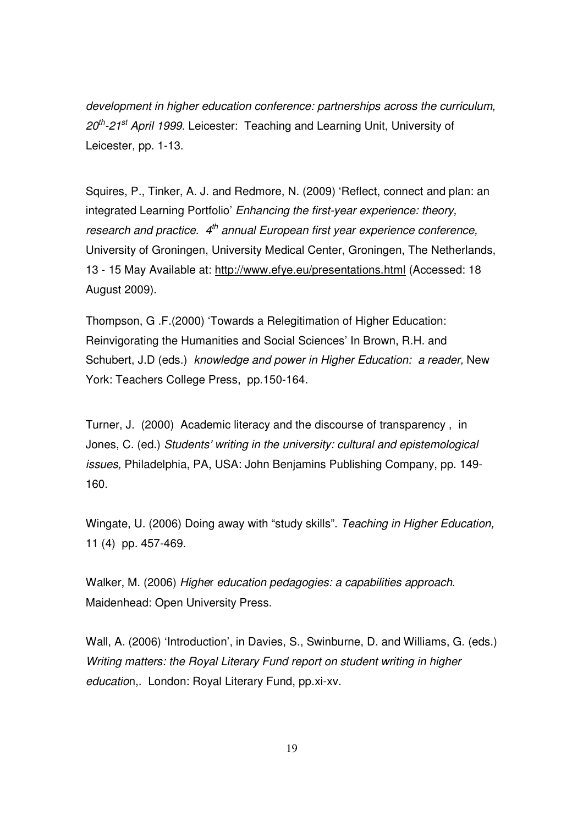development in higher education conference: partnerships across the curriculum,  $20^{th}$ -21<sup>st</sup> April 1999. Leicester: Teaching and Learning Unit. University of Leicester, pp. 1-13.

Squires, P., Tinker, A. J. and Redmore, N. (2009) 'Reflect, connect and plan: an integrated Learning Portfolio' Enhancing the first-year experience: theory, research and practice.  $4<sup>th</sup>$  annual European first year experience conference, University of Groningen, University Medical Center, Groningen, The Netherlands, 13 - 15 May Available at: http://www.efye.eu/presentations.html (Accessed: 18 August 2009).

Thompson, G .F.(2000) 'Towards a Relegitimation of Higher Education: Reinvigorating the Humanities and Social Sciences' In Brown, R.H. and Schubert, J.D (eds.) knowledge and power in Higher Education: a reader, New York: Teachers College Press, pp.150-164.

Turner, J. (2000)Academic literacy and the discourse of transparency , in Jones, C. (ed.) Students' writing in the university: cultural and epistemological issues, Philadelphia, PA, USA: John Benjamins Publishing Company, pp. 149- 160.

Wingate, U. (2006) Doing away with "study skills". Teaching in Higher Education, 11 (4) pp. 457-469.

Walker, M. (2006) Higher education pedagogies: a capabilities approach. Maidenhead: Open University Press.

Wall, A. (2006) 'Introduction', in Davies, S., Swinburne, D. and Williams, G. (eds.) Writing matters: the Royal Literary Fund report on student writing in higher education,. London: Royal Literary Fund, pp.xi-xv.